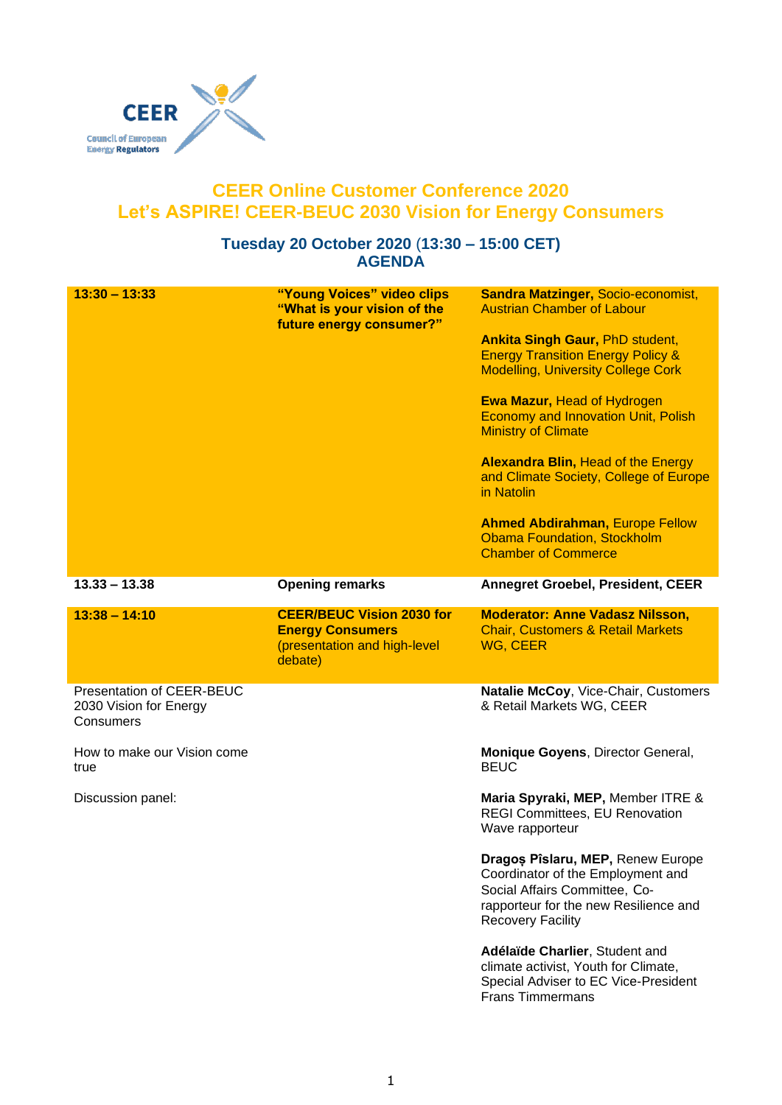

## **CEER Online Customer Conference 2020 Let's ASPIRE! CEER-BEUC 2030 Vision for Energy Consumers**

## **Tuesday 20 October 2020** (**13:30 – 15:00 CET) AGENDA**

| $13:30 - 13:33$                                                  | "Young Voices" video clips<br>"What is your vision of the<br>future energy consumer?"                  | <b>Sandra Matzinger, Socio-economist,</b><br><b>Austrian Chamber of Labour</b><br><b>Ankita Singh Gaur, PhD student,</b><br><b>Energy Transition Energy Policy &amp;</b><br><b>Modelling, University College Cork</b><br><b>Ewa Mazur, Head of Hydrogen</b><br><b>Economy and Innovation Unit, Polish</b><br><b>Ministry of Climate</b><br><b>Alexandra Blin, Head of the Energy</b><br>and Climate Society, College of Europe<br>in Natolin<br><b>Ahmed Abdirahman, Europe Fellow</b><br><b>Obama Foundation, Stockholm</b><br><b>Chamber of Commerce</b> |
|------------------------------------------------------------------|--------------------------------------------------------------------------------------------------------|------------------------------------------------------------------------------------------------------------------------------------------------------------------------------------------------------------------------------------------------------------------------------------------------------------------------------------------------------------------------------------------------------------------------------------------------------------------------------------------------------------------------------------------------------------|
| $13.33 - 13.38$                                                  | <b>Opening remarks</b>                                                                                 | <b>Annegret Groebel, President, CEER</b>                                                                                                                                                                                                                                                                                                                                                                                                                                                                                                                   |
| $13:38 - 14:10$                                                  | <b>CEER/BEUC Vision 2030 for</b><br><b>Energy Consumers</b><br>(presentation and high-level<br>debate) | <b>Moderator: Anne Vadasz Nilsson,</b><br><b>Chair, Customers &amp; Retail Markets</b><br>WG, CEER                                                                                                                                                                                                                                                                                                                                                                                                                                                         |
| Presentation of CEER-BEUC<br>2030 Vision for Energy<br>Consumers |                                                                                                        | Natalie McCoy, Vice-Chair, Customers<br>& Retail Markets WG, CEER                                                                                                                                                                                                                                                                                                                                                                                                                                                                                          |
| How to make our Vision come<br>true                              |                                                                                                        | Monique Goyens, Director General,<br><b>BEUC</b>                                                                                                                                                                                                                                                                                                                                                                                                                                                                                                           |
| Discussion panel:                                                |                                                                                                        | Maria Spyraki, MEP, Member ITRE &<br><b>REGI Committees, EU Renovation</b><br>Wave rapporteur                                                                                                                                                                                                                                                                                                                                                                                                                                                              |
|                                                                  |                                                                                                        | Dragos Pîslaru, MEP, Renew Europe<br>Coordinator of the Employment and<br>Social Affairs Committee, Co-<br>rapporteur for the new Resilience and<br><b>Recovery Facility</b>                                                                                                                                                                                                                                                                                                                                                                               |
|                                                                  |                                                                                                        | Adélaïde Charlier, Student and<br>climate activist, Youth for Climate,<br>Special Adviser to EC Vice-President<br><b>Frans Timmermans</b>                                                                                                                                                                                                                                                                                                                                                                                                                  |